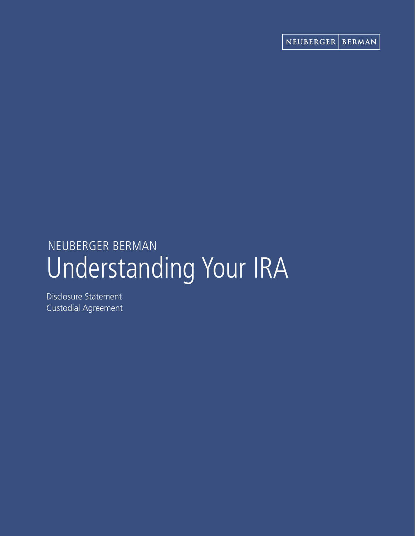# Understanding Your IRA NEUBERGER BERMAN

Disclosure Statement Custodial Agreement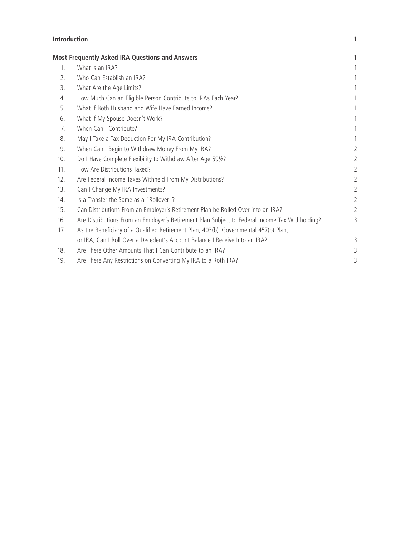# **Introduction 1**

|     | <b>Most Frequently Asked IRA Questions and Answers</b>                                          |                |
|-----|-------------------------------------------------------------------------------------------------|----------------|
| 1.  | What is an IRA?                                                                                 | 1              |
| 2.  | Who Can Establish an IRA?                                                                       |                |
| 3.  | What Are the Age Limits?                                                                        | 1              |
| 4.  | How Much Can an Eligible Person Contribute to IRAs Each Year?                                   |                |
| 5.  | What If Both Husband and Wife Have Earned Income?                                               | 1              |
| 6.  | What If My Spouse Doesn't Work?                                                                 | 1              |
| 7.  | When Can I Contribute?                                                                          | 1              |
| 8.  | May I Take a Tax Deduction For My IRA Contribution?                                             |                |
| 9.  | When Can I Begin to Withdraw Money From My IRA?                                                 | $\overline{2}$ |
| 10. | Do I Have Complete Flexibility to Withdraw After Age 591/2?                                     | $\overline{2}$ |
| 11. | How Are Distributions Taxed?                                                                    | $\overline{2}$ |
| 12. | Are Federal Income Taxes Withheld From My Distributions?                                        | $\overline{2}$ |
| 13. | Can I Change My IRA Investments?                                                                | $\overline{2}$ |
| 14. | Is a Transfer the Same as a "Rollover"?                                                         | $\overline{2}$ |
| 15. | Can Distributions From an Employer's Retirement Plan be Rolled Over into an IRA?                | $\overline{2}$ |
| 16. | Are Distributions From an Employer's Retirement Plan Subject to Federal Income Tax Withholding? | 3              |
| 17. | As the Beneficiary of a Qualified Retirement Plan, 403(b), Governmental 457(b) Plan,            |                |
|     | or IRA, Can I Roll Over a Decedent's Account Balance I Receive Into an IRA?                     | 3              |
| 18. | Are There Other Amounts That I Can Contribute to an IRA?                                        | 3              |
| 19. | Are There Any Restrictions on Converting My IRA to a Roth IRA?                                  | 3              |
|     |                                                                                                 |                |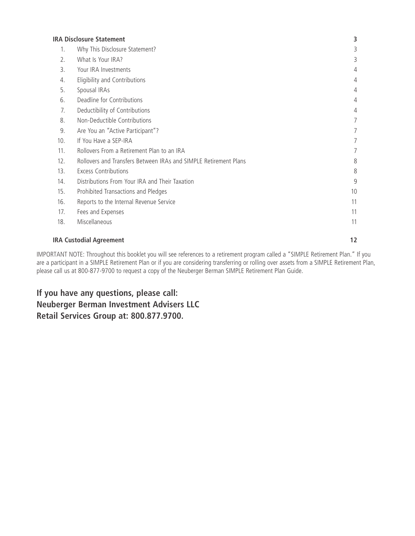| <b>IRA Disclosure Statement</b> |                                                                  |    |
|---------------------------------|------------------------------------------------------------------|----|
| 1.                              | Why This Disclosure Statement?                                   | 3  |
| 2.                              | What Is Your IRA?                                                | 3  |
| 3.                              | Your IRA Investments                                             | 4  |
| 4.                              | Eligibility and Contributions                                    | 4  |
| 5.                              | Spousal IRAs                                                     | 4  |
| 6.                              | Deadline for Contributions                                       | 4  |
| 7.                              | Deductibility of Contributions                                   | 4  |
| 8.                              | Non-Deductible Contributions                                     | 7  |
| 9.                              | Are You an "Active Participant"?                                 | 7  |
| 10.                             | If You Have a SEP-IRA                                            | 7  |
| 11.                             | Rollovers From a Retirement Plan to an IRA                       | 7  |
| 12.                             | Rollovers and Transfers Between IRAs and SIMPLE Retirement Plans | 8  |
| 13.                             | <b>Excess Contributions</b>                                      | 8  |
| 14.                             | Distributions From Your IRA and Their Taxation                   | 9  |
| 15.                             | Prohibited Transactions and Pledges                              | 10 |
| 16.                             | Reports to the Internal Revenue Service                          | 11 |
| 17.                             | Fees and Expenses                                                | 11 |
| 18.                             | Miscellaneous                                                    | 11 |
|                                 |                                                                  |    |

# **IRA Custodial Agreement 12**

IMPORTANT NOTE: Throughout this booklet you will see references to a retirement program called a "SIMPLE Retirement Plan." If you are a participant in a SIMPLE Retirement Plan or if you are considering transferring or rolling over assets from a SIMPLE Retirement Plan, please call us at 800-877-9700 to request a copy of the Neuberger Berman SIMPLE Retirement Plan Guide.

**If you have any questions, please call: Neuberger Berman Investment Advisers LLC Retail Services Group at: 800.877.9700.**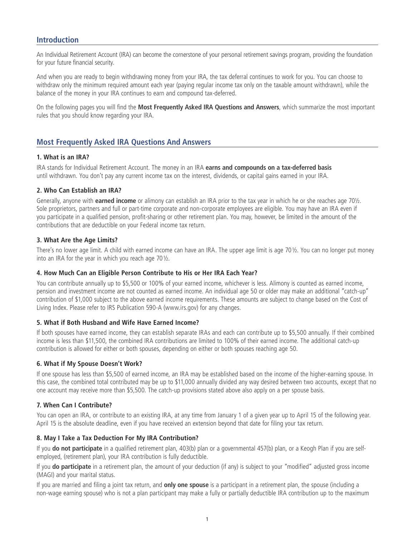# **Introduction**

An Individual Retirement Account (IRA) can become the cornerstone of your personal retirement savings program, providing the foundation for your future financial security.

And when you are ready to begin withdrawing money from your IRA, the tax deferral continues to work for you. You can choose to withdraw only the minimum required amount each year (paying regular income tax only on the taxable amount withdrawn), while the balance of the money in your IRA continues to earn and compound tax-deferred.

On the following pages you will find the **Most Frequently Asked IRA Questions and Answers**, which summarize the most important rules that you should know regarding your IRA.

# **Most Frequently Asked IRA Questions And Answers**

#### **1. What is an IRA?**

IRA stands for Individual Retirement Account. The money in an IRA **earns and compounds on a tax-deferred basis**  until withdrawn. You don't pay any current income tax on the interest, dividends, or capital gains earned in your IRA.

#### **2. Who Can Establish an IRA?**

Generally, anyone with **earned income** or alimony can establish an IRA prior to the tax year in which he or she reaches age 70½. Sole proprietors, partners and full or part-time corporate and non-corporate employees are eligible. You may have an IRA even if you participate in a qualified pension, profit-sharing or other retirement plan. You may, however, be limited in the amount of the contributions that are deductible on your Federal income tax return.

#### **3. What Are the Age Limits?**

There's no lower age limit. A child with earned income can have an IRA. The upper age limit is age 70½. You can no longer put money into an IRA for the year in which you reach age 70½.

#### **4. How Much Can an Eligible Person Contribute to His or Her IRA Each Year?**

You can contribute annually up to \$5,500 or 100% of your earned income, whichever is less. Alimony is counted as earned income, pension and investment income are not counted as earned income. An individual age 50 or older may make an additional "catch-up" contribution of \$1,000 subject to the above earned income requirements. These amounts are subject to change based on the Cost of Living Index. Please refer to IRS Publication 590-A (www.irs.gov) for any changes.

#### **5. What if Both Husband and Wife Have Earned Income?**

If both spouses have earned income, they can establish separate IRAs and each can contribute up to \$5,500 annually. If their combined income is less than \$11,500, the combined IRA contributions are limited to 100% of their earned income. The additional catch-up contribution is allowed for either or both spouses, depending on either or both spouses reaching age 50.

#### **6. What if My Spouse Doesn't Work?**

If one spouse has less than \$5,500 of earned income, an IRA may be established based on the income of the higher-earning spouse. In this case, the combined total contributed may be up to \$11,000 annually divided any way desired between two accounts, except that no one account may receive more than \$5,500. The catch-up provisions stated above also apply on a per spouse basis.

#### **7. When Can I Contribute?**

You can open an IRA, or contribute to an existing IRA, at any time from January 1 of a given year up to April 15 of the following year. April 15 is the absolute deadline, even if you have received an extension beyond that date for filing your tax return.

#### **8. May I Take a Tax Deduction For My IRA Contribution?**

If you **do not participate** in a qualified retirement plan, 403(b) plan or a governmental 457(b) plan, or a Keogh Plan if you are selfemployed, (retirement plan), your IRA contribution is fully deductible.

If you **do participate** in a retirement plan, the amount of your deduction (if any) is subject to your "modified" adjusted gross income (MAGI) and your marital status.

If you are married and filing a joint tax return, and **only one spouse** is a participant in a retirement plan, the spouse (including a non-wage earning spouse) who is not a plan participant may make a fully or partially deductible IRA contribution up to the maximum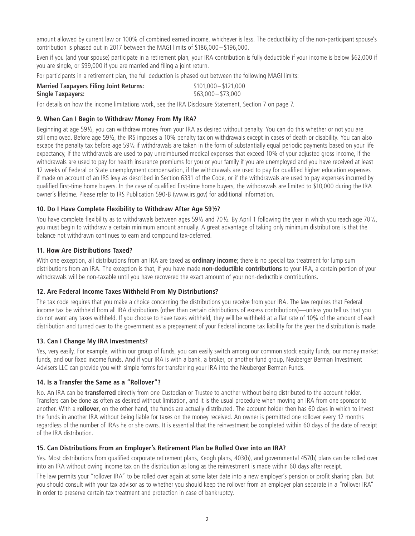amount allowed by current law or 100% of combined earned income, whichever is less. The deductibility of the non-participant spouse's contribution is phased out in 2017 between the MAGI limits of \$186,000–\$196,000.

Even if you (and your spouse) participate in a retirement plan, your IRA contribution is fully deductible if your income is below \$62,000 if you are single, or \$99,000 if you are married and filing a joint return.

For participants in a retirement plan, the full deduction is phased out between the following MAGI limits:

| <b>Married Taxpayers Filing Joint Returns:</b> | $$101,000 - $121,000$ |
|------------------------------------------------|-----------------------|
| <b>Single Taxpayers:</b>                       | $$63,000 - $73,000$   |

For details on how the income limitations work, see the IRA Disclosure Statement, Section 7 on page 7.

# **9. When Can I Begin to Withdraw Money From My IRA?**

Beginning at age 59½, you can withdraw money from your IRA as desired without penalty. You can do this whether or not you are still employed. Before age 59½, the IRS imposes a 10% penalty tax on withdrawals except in cases of death or disability. You can also escape the penalty tax before age 59½ if withdrawals are taken in the form of substantially equal periodic payments based on your life expectancy, if the withdrawals are used to pay unreimbursed medical expenses that exceed 10% of your adjusted gross income, if the withdrawals are used to pay for health insurance premiums for you or your family if you are unemployed and you have received at least 12 weeks of Federal or State unemployment compensation, if the withdrawals are used to pay for qualified higher education expenses if made on account of an IRS levy as described in Section 6331 of the Code, or if the withdrawals are used to pay expenses incurred by qualified first-time home buyers. In the case of qualified first-time home buyers, the withdrawals are limited to \$10,000 during the IRA owner's lifetime. Please refer to IRS Publication 590-B (www.irs.gov) for additional information.

# **10. Do I Have Complete Flexibility to Withdraw After Age 59½?**

You have complete flexibility as to withdrawals between ages 59½ and 70½. By April 1 following the year in which you reach age 70½, you must begin to withdraw a certain minimum amount annually. A great advantage of taking only minimum distributions is that the balance not withdrawn continues to earn and compound tax-deferred.

# **11. How Are Distributions Taxed?**

With one exception, all distributions from an IRA are taxed as **ordinary income**; there is no special tax treatment for lump sum distributions from an IRA. The exception is that, if you have made **non-deductible contributions** to your IRA, a certain portion of your withdrawals will be non-taxable until you have recovered the exact amount of your non-deductible contributions.

# **12. Are Federal Income Taxes Withheld From My Distributions?**

The tax code requires that you make a choice concerning the distributions you receive from your IRA. The law requires that Federal income tax be withheld from all IRA distributions (other than certain distributions of excess contributions)—unless you tell us that you do not want any taxes withheld. If you choose to have taxes withheld, they will be withheld at a flat rate of 10% of the amount of each distribution and turned over to the government as a prepayment of your Federal income tax liability for the year the distribution is made.

# **13. Can I Change My IRA Investments?**

Yes, very easily. For example, within our group of funds, you can easily switch among our common stock equity funds, our money market funds, and our fixed income funds. And if your IRA is with a bank, a broker, or another fund group, Neuberger Berman Investment Advisers LLC can provide you with simple forms for transferring your IRA into the Neuberger Berman Funds.

# **14. Is a Transfer the Same as a "Rollover"?**

No. An IRA can be **transferred** directly from one Custodian or Trustee to another without being distributed to the account holder. Transfers can be done as often as desired without limitation, and it is the usual procedure when moving an IRA from one sponsor to another. With a **rollover**, on the other hand, the funds are actually distributed. The account holder then has 60 days in which to invest the funds in another IRA without being liable for taxes on the money received. An owner is permitted one rollover every 12 months regardless of the number of IRAs he or she owns. It is essential that the reinvestment be completed within 60 days of the date of receipt of the IRA distribution.

# **15. Can Distributions From an Employer's Retirement Plan be Rolled Over into an IRA?**

Yes. Most distributions from qualified corporate retirement plans, Keogh plans, 403(b), and governmental 457(b) plans can be rolled over into an IRA without owing income tax on the distribution as long as the reinvestment is made within 60 days after receipt.

The law permits your "rollover IRA" to be rolled over again at some later date into a new employer's pension or profit sharing plan. But you should consult with your tax advisor as to whether you should keep the rollover from an employer plan separate in a "rollover IRA" in order to preserve certain tax treatment and protection in case of bankruptcy.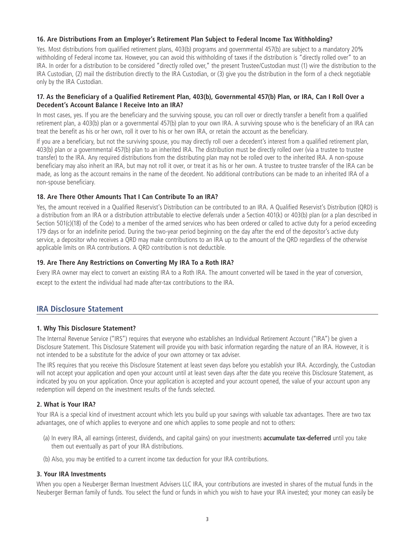### **16. Are Distributions From an Employer's Retirement Plan Subject to Federal Income Tax Withholding?**

Yes. Most distributions from qualified retirement plans, 403(b) programs and governmental 457(b) are subject to a mandatory 20% withholding of Federal income tax. However, you can avoid this withholding of taxes if the distribution is "directly rolled over" to an IRA. In order for a distribution to be considered "directly rolled over," the present Trustee/Custodian must (1) wire the distribution to the IRA Custodian, (2) mail the distribution directly to the IRA Custodian, or (3) give you the distribution in the form of a check negotiable only by the IRA Custodian.

#### **17. As the Beneficiary of a Qualified Retirement Plan, 403(b), Governmental 457(b) Plan, or IRA, Can I Roll Over a Decedent's Account Balance I Receive Into an IRA?**

In most cases, yes. If you are the beneficiary and the surviving spouse, you can roll over or directly transfer a benefit from a qualified retirement plan, a 403(b) plan or a governmental 457(b) plan to your own IRA. A surviving spouse who is the beneficiary of an IRA can treat the benefit as his or her own, roll it over to his or her own IRA, or retain the account as the beneficiary.

If you are a beneficiary, but not the surviving spouse, you may directly roll over a decedent's interest from a qualified retirement plan, 403(b) plan or a governmental 457(b) plan to an inherited IRA. The distribution must be directly rolled over (via a trustee to trustee transfer) to the IRA. Any required distributions from the distributing plan may not be rolled over to the inherited IRA. A non-spouse beneficiary may also inherit an IRA, but may not roll it over, or treat it as his or her own. A trustee to trustee transfer of the IRA can be made, as long as the account remains in the name of the decedent. No additional contributions can be made to an inherited IRA of a non-spouse beneficiary.

#### **18. Are There Other Amounts That I Can Contribute To an IRA?**

Yes, the amount received in a Qualified Reservist's Distribution can be contributed to an IRA. A Qualified Reservist's Distribution (QRD) is a distribution from an IRA or a distribution attributable to elective deferrals under a Section 401(k) or 403(b) plan (or a plan described in Section 501(c)(18) of the Code) to a member of the armed services who has been ordered or called to active duty for a period exceeding 179 days or for an indefinite period. During the two-year period beginning on the day after the end of the depositor's active duty service, a depositor who receives a QRD may make contributions to an IRA up to the amount of the QRD regardless of the otherwise applicable limits on IRA contributions. A QRD contribution is not deductible.

#### **19. Are There Any Restrictions on Converting My IRA To a Roth IRA?**

Every IRA owner may elect to convert an existing IRA to a Roth IRA. The amount converted will be taxed in the year of conversion, except to the extent the individual had made after-tax contributions to the IRA.

# **IRA Disclosure Statement**

#### **1. Why This Disclosure Statement?**

The Internal Revenue Service ("IRS") requires that everyone who establishes an Individual Retirement Account ("IRA") be given a Disclosure Statement. This Disclosure Statement will provide you with basic information regarding the nature of an IRA. However, it is not intended to be a substitute for the advice of your own attorney or tax adviser.

The IRS requires that you receive this Disclosure Statement at least seven days before you establish your IRA. Accordingly, the Custodian will not accept your application and open your account until at least seven days after the date you receive this Disclosure Statement, as indicated by you on your application. Once your application is accepted and your account opened, the value of your account upon any redemption will depend on the investment results of the funds selected.

# **2. What is Your IRA?**

Your IRA is a special kind of investment account which lets you build up your savings with valuable tax advantages. There are two tax advantages, one of which applies to everyone and one which applies to some people and not to others:

- (a) In every IRA, all earnings (interest, dividends, and capital gains) on your investments **accumulate tax-deferred** until you take them out eventually as part of your IRA distributions.
- (b) Also, you may be entitled to a current income tax deduction for your IRA contributions.

#### **3. Your IRA Investments**

When you open a Neuberger Berman Investment Advisers LLC IRA, your contributions are invested in shares of the mutual funds in the Neuberger Berman family of funds. You select the fund or funds in which you wish to have your IRA invested; your money can easily be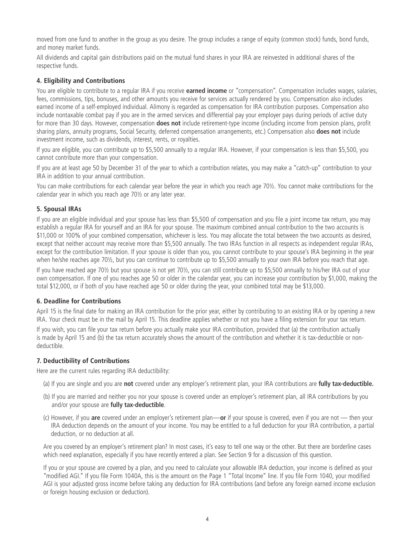moved from one fund to another in the group as you desire. The group includes a range of equity (common stock) funds, bond funds, and money market funds.

All dividends and capital gain distributions paid on the mutual fund shares in your IRA are reinvested in additional shares of the respective funds.

# **4. Eligibility and Contributions**

You are eligible to contribute to a regular IRA if you receive **earned income** or "compensation". Compensation includes wages, salaries, fees, commissions, tips, bonuses, and other amounts you receive for services actually rendered by you. Compensation also includes earned income of a self-employed individual. Alimony is regarded as compensation for IRA contribution purposes. Compensation also include nontaxable combat pay if you are in the armed services and differential pay your employer pays during periods of active duty for more than 30 days. However, compensation **does not** include retirement-type income (including income from pension plans, profit sharing plans, annuity programs, Social Security, deferred compensation arrangements, etc.) Compensation also **does not** include investment income, such as dividends, interest, rents, or royalties.

If you are eligible, you can contribute up to \$5,500 annually to a regular IRA. However, if your compensation is less than \$5,500, you cannot contribute more than your compensation.

If you are at least age 50 by December 31 of the year to which a contribution relates, you may make a "catch-up" contribution to your IRA in addition to your annual contribution.

You can make contributions for each calendar year before the year in which you reach age 70½. You cannot make contributions for the calendar year in which you reach age 70½ or any later year.

#### **5. Spousal IRAs**

If you are an eligible individual and your spouse has less than \$5,500 of compensation and you file a joint income tax return, you may establish a regular IRA for yourself and an IRA for your spouse. The maximum combined annual contribution to the two accounts is \$11,000 or 100% of your combined compensation, whichever is less. You may allocate the total between the two accounts as desired, except that neither account may receive more than \$5,500 annually. The two IRAs function in all respects as independent regular IRAs, except for the contribution limitation. If your spouse is older than you, you cannot contribute to your spouse's IRA beginning in the year when he/she reaches age 70½, but you can continue to contribute up to \$5,500 annually to your own IRA before you reach that age.

If you have reached age 70½ but your spouse is not yet 70½, you can still contribute up to \$5,500 annually to his/her IRA out of your own compensation. If one of you reaches age 50 or older in the calendar year, you can increase your contribution by \$1,000, making the total \$12,000, or if both of you have reached age 50 or older during the year, your combined total may be \$13,000.

# **6. Deadline for Contributions**

April 15 is the final date for making an IRA contribution for the prior year, either by contributing to an existing IRA or by opening a new IRA. Your check must be in the mail by April 15. This deadline applies whether or not you have a filing extension for your tax return.

If you wish, you can file your tax return before you actually make your IRA contribution, provided that (a) the contribution actually is made by April 15 and (b) the tax return accurately shows the amount of the contribution and whether it is tax-deductible or nondeductible.

# **7. Deductibility of Contributions**

Here are the current rules regarding IRA deductibility:

- (a) If you are single and you are **not** covered under any employer's retirement plan, your IRA contributions are **fully tax-deductible.**
- (b) If you are married and neither you nor your spouse is covered under an employer's retirement plan, all IRA contributions by you and/or your spouse are **fully tax-deductible**.
- (c) However, if you **are** covered under an employer's retirement plan—**or** if your spouse is covered, even if you are not then your IRA deduction depends on the amount of your income. You may be entitled to a full deduction for your IRA contribution, a partial deduction, or no deduction at all.

Are you covered by an employer's retirement plan? In most cases, it's easy to tell one way or the other. But there are borderline cases which need explanation, especially if you have recently entered a plan. See Section 9 for a discussion of this question.

If you or your spouse are covered by a plan, and you need to calculate your allowable IRA deduction, your income is defined as your "modified AGI." If you file Form 1040A, this is the amount on the Page 1 "Total Income" line. If you file Form 1040, your modified AGI is your adjusted gross income before taking any deduction for IRA contributions (and before any foreign earned income exclusion or foreign housing exclusion or deduction).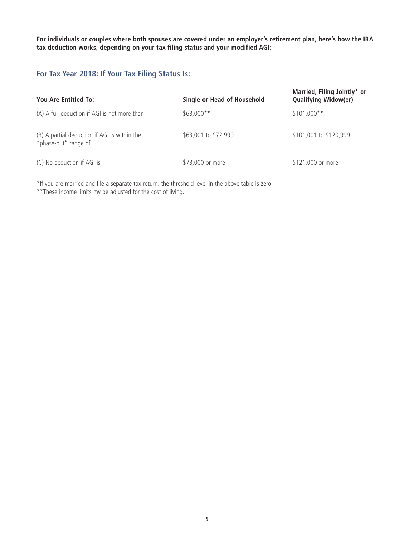**For individuals or couples where both spouses are covered under an employer's retirement plan, here's how the IRA tax deduction works, depending on your tax filing status and your modified AGI:**

# **For Tax Year 2018: If Your Tax Filing Status Is:**

| You Are Entitled To:                                                 | Single or Head of Household | Married, Filing Jointly* or<br><b>Qualifying Widow(er)</b> |
|----------------------------------------------------------------------|-----------------------------|------------------------------------------------------------|
| (A) A full deduction if AGI is not more than                         | $$63,000**$                 | $$101,000**$                                               |
| (B) A partial deduction if AGI is within the<br>"phase-out" range of | \$63,001 to \$72,999        | \$101,001 to \$120,999                                     |
| (C) No deduction if AGI is                                           | \$73,000 or more            | \$121,000 or more                                          |

\*If you are married and file a separate tax return, the threshold level in the above table is zero.

\*\*These income limits my be adjusted for the cost of living.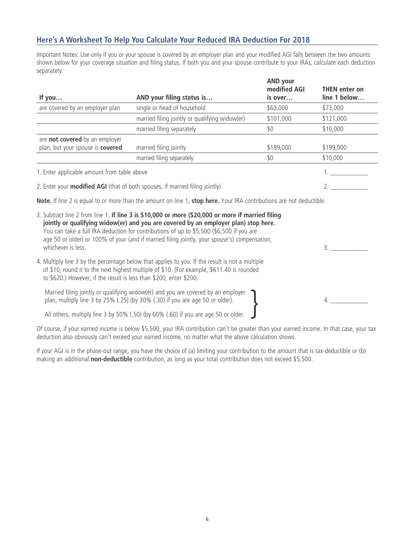# **Here's A Worksheet To Help You Calculate Your Reduced IRA Deduction For 2018**

Important Notes: Use only if you or your spouse is covered by an employer plan and your modified AGI falls between the two amounts shown below for your coverage situation and filing status. If both you and your spouse contribute to your IRAs, calculate each deduction separately.

| If you                                      | AND your filing status is                      | <b>AND your</b><br>modified AGI<br>is over | <b>THEN</b> enter on<br>line 1 below |
|---------------------------------------------|------------------------------------------------|--------------------------------------------|--------------------------------------|
| are covered by an employer plan             | single or head of household                    | \$63,000                                   | \$73,000                             |
|                                             | married filing jointly or qualifying widow(er) | \$101,000                                  | \$121,000                            |
|                                             | married filing separately                      | \$0                                        | \$10,000                             |
| are not covered by an employer              |                                                |                                            |                                      |
| plan, but your spouse is covered            | married filing jointly                         | \$189,000                                  | \$199,000                            |
|                                             | married filing separately                      | \$0                                        | \$10,000                             |
| 1. Enter applicable amount from table above |                                                |                                            |                                      |

2. Enter your **modified AGI** (that of both spouses, if married filing jointly) 2. \_\_\_\_\_

**Note.** If line 2 is equal to or more than the amount on line 1, **stop here.** Your IRA contributions are not deductible.

| 3. Subtract line 2 from line 1. If line 3 is \$10,000 or more (\$20,000 or more if married filing<br>jointly or qualifying widow(er) and you are covered by an employer plan) stop here.<br>You can take a full IRA deduction for contributions of up to \$5,500 (\$6,500 if you are<br>age 50 or older) or 100% of your (and if married filing jointly, your spouse's) compensation,<br>whichever is less. |  |
|-------------------------------------------------------------------------------------------------------------------------------------------------------------------------------------------------------------------------------------------------------------------------------------------------------------------------------------------------------------------------------------------------------------|--|
| 4. Multiply line 3 by the percentage below that applies to you. If the result is not a multiple<br>of \$10, round it to the next highest multiple of \$10. (For example, \$611.40 is rounded<br>to \$620.) However, if the result is less than \$200, enter \$200.                                                                                                                                          |  |
| Married filing jointly or qualifying widow(er) and you are covered by an employer $\Box$<br>plan, multiply line 3 by 25% (.25) (by 30% (.30) if you are age 50 or older).                                                                                                                                                                                                                                   |  |
| All others, multiply line 3 by 50% (.50) (by 60% (.60) if you are age 50 or older.                                                                                                                                                                                                                                                                                                                          |  |

Of course, if your earned income is below \$5,500, your IRA contribution can't be greater than your earned income. In that case, your tax deduction also obviously can't exceed your earned income, no matter what the above calculation shows.

If your AGI is in the phase-out range, you have the choice of (a) limiting your contribution to the amount that is tax-deductible or (b) making an additional **non-deductible** contribution, as long as your total contribution does not exceed \$5,500.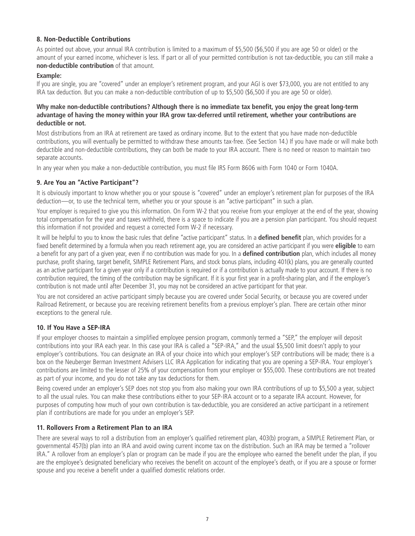# **8. Non-Deductible Contributions**

As pointed out above, your annual IRA contribution is limited to a maximum of \$5,500 (\$6,500 if you are age 50 or older) or the amount of your earned income, whichever is less. If part or all of your permitted contribution is not tax-deductible, you can still make a **non-deductible contribution** of that amount.

#### **Example:**

If you are single, you are "covered" under an employer's retirement program, and your AGI is over \$73,000, you are not entitled to any IRA tax deduction. But you can make a non-deductible contribution of up to \$5,500 (\$6,500 if you are age 50 or older).

#### **Why make non-deductible contributions? Although there is no immediate tax benefit, you enjoy the great long-term advantage of having the money within your IRA grow tax-deferred until retirement, whether your contributions are deductible or not.**

Most distributions from an IRA at retirement are taxed as ordinary income. But to the extent that you have made non-deductible contributions, you will eventually be permitted to withdraw these amounts tax-free. (See Section 14.) If you have made or will make both deductible and non-deductible contributions, they can both be made to your IRA account. There is no need or reason to maintain two separate accounts.

In any year when you make a non-deductible contribution, you must file IRS Form 8606 with Form 1040 or Form 1040A.

#### **9. Are You an "Active Participant"?**

It is obviously important to know whether you or your spouse is "covered" under an employer's retirement plan for purposes of the IRA deduction—or, to use the technical term, whether you or your spouse is an "active participant" in such a plan.

Your employer is required to give you this information. On Form W-2 that you receive from your employer at the end of the year, showing total compensation for the year and taxes withheld, there is a space to indicate if you are a pension plan participant. You should request this information if not provided and request a corrected Form W-2 if necessary.

It will be helpful to you to know the basic rules that define "active participant" status. In a **defined benefit** plan, which provides for a fixed benefit determined by a formula when you reach retirement age, you are considered an active participant if you were **eligible** to earn a benefit for any part of a given year, even if no contribution was made for you. In a **defined contribution** plan, which includes all money purchase, profit sharing, target benefit, SIMPLE Retirement Plans, and stock bonus plans, including 401(k) plans, you are generally counted as an active participant for a given year only if a contribution is required or if a contribution is actually made to your account. If there is no contribution required, the timing of the contribution may be significant. If it is your first year in a profit-sharing plan, and if the employer's contribution is not made until after December 31, you may not be considered an active participant for that year.

You are not considered an active participant simply because you are covered under Social Security, or because you are covered under Railroad Retirement, or because you are receiving retirement benefits from a previous employer's plan. There are certain other minor exceptions to the general rule.

#### **10. If You Have a SEP-IRA**

If your employer chooses to maintain a simplified employee pension program, commonly termed a "SEP," the employer will deposit contributions into your IRA each year. In this case your IRA is called a "SEP-IRA," and the usual \$5,500 limit doesn't apply to your employer's contributions. You can designate an IRA of your choice into which your employer's SEP contributions will be made; there is a box on the Neuberger Berman Investment Advisers LLC IRA Application for indicating that you are opening a SEP-IRA. Your employer's contributions are limited to the lesser of 25% of your compensation from your employer or \$55,000. These contributions are not treated as part of your income, and you do not take any tax deductions for them.

Being covered under an employer's SEP does not stop you from also making your own IRA contributions of up to \$5,500 a year, subject to all the usual rules. You can make these contributions either to your SEP-IRA account or to a separate IRA account. However, for purposes of computing how much of your own contribution is tax-deductible, you are considered an active participant in a retirement plan if contributions are made for you under an employer's SEP.

#### **11. Rollovers From a Retirement Plan to an IRA**

There are several ways to roll a distribution from an employer's qualified retirement plan, 403(b) program, a SIMPLE Retirement Plan, or governmental 457(b) plan into an IRA and avoid owing current income tax on the distribution. Such an IRA may be termed a "rollover IRA." A rollover from an employer's plan or program can be made if you are the employee who earned the benefit under the plan, if you are the employee's designated beneficiary who receives the benefit on account of the employee's death, or if you are a spouse or former spouse and you receive a benefit under a qualified domestic relations order.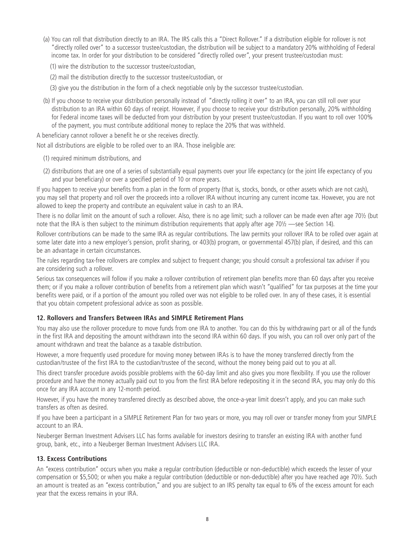(a) You can roll that distribution directly to an IRA. The IRS calls this a "Direct Rollover." If a distribution eligible for rollover is not "directly rolled over" to a successor trustee/custodian, the distribution will be subject to a mandatory 20% withholding of Federal income tax. In order for your distribution to be considered "directly rolled over", your present trustee/custodian must:

(1) wire the distribution to the successor trustee/custodian,

(2) mail the distribution directly to the successor trustee/custodian, or

(3) give you the distribution in the form of a check negotiable only by the successor trustee/custodian.

(b) If you choose to receive your distribution personally instead of "directly rolling it over" to an IRA, you can still roll over your distribution to an IRA within 60 days of receipt. However, if you choose to receive your distribution personally, 20% withholding for Federal income taxes will be deducted from your distribution by your present trustee/custodian. If you want to roll over 100% of the payment, you must contribute additional money to replace the 20% that was withheld.

A beneficiary cannot rollover a benefit he or she receives directly.

Not all distributions are eligible to be rolled over to an IRA. Those ineligible are:

- (1) required minimum distributions, and
- (2) distributions that are one of a series of substantially equal payments over your life expectancy (or the joint life expectancy of you and your beneficiary) or over a specified period of 10 or more years.

If you happen to receive your benefits from a plan in the form of property (that is, stocks, bonds, or other assets which are not cash), you may sell that property and roll over the proceeds into a rollover IRA without incurring any current income tax. However, you are not allowed to keep the property and contribute an equivalent value in cash to an IRA.

There is no dollar limit on the amount of such a rollover. Also, there is no age limit; such a rollover can be made even after age 70½ (but note that the IRA is then subject to the minimum distribution requirements that apply after age 70½ —see Section 14).

Rollover contributions can be made to the same IRA as regular contributions. The law permits your rollover IRA to be rolled over again at some later date into a new employer's pension, profit sharing, or 403(b) program, or governmental 457(b) plan, if desired, and this can be an advantage in certain circumstances.

The rules regarding tax-free rollovers are complex and subject to frequent change; you should consult a professional tax adviser if you are considering such a rollover.

Serious tax consequences will follow if you make a rollover contribution of retirement plan benefits more than 60 days after you receive them; or if you make a rollover contribution of benefits from a retirement plan which wasn't "qualified" for tax purposes at the time your benefits were paid, or if a portion of the amount you rolled over was not eligible to be rolled over. In any of these cases, it is essential that you obtain competent professional advice as soon as possible.

# **12. Rollovers and Transfers Between IRAs and SIMPLE Retirement Plans**

You may also use the rollover procedure to move funds from one IRA to another. You can do this by withdrawing part or all of the funds in the first IRA and depositing the amount withdrawn into the second IRA within 60 days. If you wish, you can roll over only part of the amount withdrawn and treat the balance as a taxable distribution.

However, a more frequently used procedure for moving money between IRAs is to have the money transferred directly from the custodian/trustee of the first IRA to the custodian/trustee of the second, without the money being paid out to you at all.

This direct transfer procedure avoids possible problems with the 60-day limit and also gives you more flexibility. If you use the rollover procedure and have the money actually paid out to you from the first IRA before redepositing it in the second IRA, you may only do this once for any IRA account in any 12-month period.

However, if you have the money transferred directly as described above, the once-a-year limit doesn't apply, and you can make such transfers as often as desired.

If you have been a participant in a SIMPLE Retirement Plan for two years or more, you may roll over or transfer money from your SIMPLE account to an IRA.

Neuberger Berman Investment Advisers LLC has forms available for investors desiring to transfer an existing IRA with another fund group, bank, etc., into a Neuberger Berman Investment Advisers LLC IRA.

# **13. Excess Contributions**

An "excess contribution" occurs when you make a regular contribution (deductible or non-deductible) which exceeds the lesser of your compensation or \$5,500; or when you make a regular contribution (deductible or non-deductible) after you have reached age 70½. Such an amount is treated as an "excess contribution," and you are subject to an IRS penalty tax equal to 6% of the excess amount for each year that the excess remains in your IRA.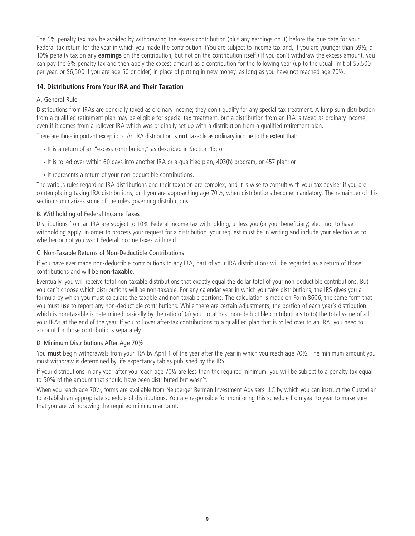The 6% penalty tax may be avoided by withdrawing the excess contribution (plus any earnings on it) before the due date for your Federal tax return for the year in which you made the contribution. (You are subject to income tax and, if you are younger than 59½, a 10% penalty tax on any **earnings** on the contribution, but not on the contribution itself.) If you don't withdraw the excess amount, you can pay the 6% penalty tax and then apply the excess amount as a contribution for the following year (up to the usual limit of \$5,500 per year, or \$6,500 if you are age 50 or older) in place of putting in new money, as long as you have not reached age 70½.

## **14. Distributions From Your IRA and Their Taxation**

#### A. General Rule

Distributions from IRAs are generally taxed as ordinary income; they don't qualify for any special tax treatment. A lump sum distribution from a qualified retirement plan may be eligible for special tax treatment, but a distribution from an IRA is taxed as ordinary income, even if it comes from a rollover IRA which was originally set up with a distribution from a qualified retirement plan.

There are three important exceptions. An IRA distribution is **not** taxable as ordinary income to the extent that:

- It is a return of an "excess contribution," as described in Section 13; or
- It is rolled over within 60 days into another IRA or a qualified plan, 403(b) program, or 457 plan; or
- It represents a return of your non-deductible contributions.

The various rules regarding IRA distributions and their taxation are complex, and it is wise to consult with your tax adviser if you are contemplating taking IRA distributions, or if you are approaching age 70½, when distributions become mandatory. The remainder of this section summarizes some of the rules governing distributions.

#### B. Withholding of Federal Income Taxes

Distributions from an IRA are subject to 10% Federal income tax withholding, unless you (or your beneficiary) elect not to have withholding apply. In order to process your request for a distribution, your request must be in writing and include your election as to whether or not you want Federal income taxes withheld.

#### C. Non-Taxable Returns of Non-Deductible Contributions

If you have ever made non-deductible contributions to any IRA, part of your IRA distributions will be regarded as a return of those contributions and will be **non-taxable**.

Eventually, you will receive total non-taxable distributions that exactly equal the dollar total of your non-deductible contributions. But you can't choose which distributions will be non-taxable. For any calendar year in which you take distributions, the IRS gives you a formula by which you must calculate the taxable and non-taxable portions. The calculation is made on Form 8606, the same form that you must use to report any non-deductible contributions. While there are certain adjustments, the portion of each year's distribution which is non-taxable is determined basically by the ratio of (a) your total past non-deductible contributions to (b) the total value of all your IRAs at the end of the year. If you roll over after-tax contributions to a qualified plan that is rolled over to an IRA, you need to account for those contributions separately.

#### D. Minimum Distributions After Age 70½

You **must** begin withdrawals from your IRA by April 1 of the year after the year in which you reach age 70½. The minimum amount you must withdraw is determined by life expectancy tables published by the IRS.

If your distributions in any year after you reach age 70½ are less than the required minimum, you will be subject to a penalty tax equal to 50% of the amount that should have been distributed but wasn't.

When you reach age 70½, forms are available from Neuberger Berman Investment Advisers LLC by which you can instruct the Custodian to establish an appropriate schedule of distributions. You are responsible for monitoring this schedule from year to year to make sure that you are withdrawing the required minimum amount.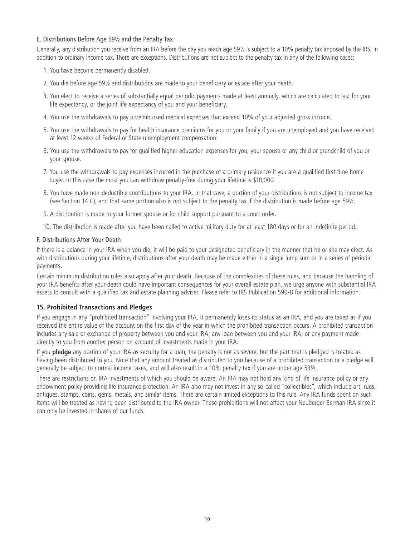#### E. Distributions Before Age 59½ and the Penalty Tax

Generally, any distribution you receive from an IRA before the day you reach age 59½ is subject to a 10% penalty tax imposed by the IRS, in addition to ordinary income tax. There are exceptions. Distributions are not subject to the penalty tax in any of the following cases:

- 1. You have become permanently disabled.
- 2. You die before age 59½ and distributions are made to your beneficiary or estate after your death.
- 3. You elect to receive a series of substantially equal periodic payments made at least annually, which are calculated to last for your life expectancy, or the joint life expectancy of you and your beneficiary.
- 4. You use the withdrawals to pay unreimbursed medical expenses that exceed 10% of your adjusted gross income.
- 5. You use the withdrawals to pay for health insurance premiums for you or your family if you are unemployed and you have received at least 12 weeks of Federal or State unemployment compensation.
- 6. You use the withdrawals to pay for qualified higher education expenses for you, your spouse or any child or grandchild of you or your spouse.
- 7. You use the withdrawals to pay expenses incurred in the purchase of a primary residence if you are a qualified first-time home buyer. In this case the most you can withdraw penalty-free during your lifetime is \$10,000.
- 8. You have made non-deductible contributions to your IRA. In that case, a portion of your distributions is not subject to income tax (see Section 14 C), and that same portion also is not subject to the penalty tax if the distribution is made before age 59½.
- 9. A distribution is made to your former spouse or for child support pursuant to a court order.
- 10. The distribution is made after you have been called to active military duty for at least 180 days or for an indefinite period.

#### F. Distributions After Your Death

If there is a balance in your IRA when you die, it will be paid to your designated beneficiary in the manner that he or she may elect. As with distributions during your lifetime, distributions after your death may be made either in a single lump sum or in a series of periodic payments.

Certain minimum distribution rules also apply after your death. Because of the complexities of these rules, and because the handling of your IRA benefits after your death could have important consequences for your overall estate plan, we urge anyone with substantial IRA assets to consult with a qualified tax and estate planning adviser. Please refer to IRS Publication 590-B for additional information.

#### **15. Prohibited Transactions and Pledges**

If you engage in any "prohibited transaction" involving your IRA, it permanently loses its status as an IRA, and you are taxed as if you received the entire value of the account on the first day of the year in which the prohibited transaction occurs. A prohibited transaction includes any sale or exchange of property between you and your IRA; any loan between you and your IRA; or any payment made directly to you from another person on account of investments made in your IRA.

If you **pledge** any portion of your IRA as security for a loan, the penalty is not as severe, but the part that is pledged is treated as having been distributed to you. Note that any amount treated as distributed to you because of a prohibited transaction or a pledge will generally be subject to normal income taxes, and will also result in a 10% penalty tax if you are under age 59½.

There are restrictions on IRA investments of which you should be aware. An IRA may not hold any kind of life insurance policy or any endowment policy providing life insurance protection. An IRA also may not invest in any so-called "collectibles", which include art, rugs, antiques, stamps, coins, gems, metals, and similar items. There are certain limited exceptions to this rule. Any IRA funds spent on such items will be treated as having been distributed to the IRA owner. These prohibitions will not affect your Neuberger Berman IRA since it can only be invested in shares of our funds.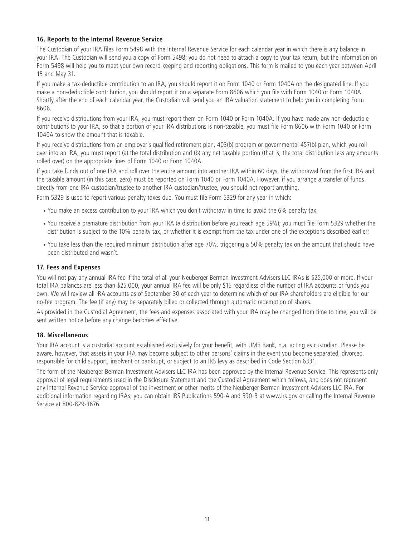## **16. Reports to the Internal Revenue Service**

The Custodian of your IRA files Form 5498 with the Internal Revenue Service for each calendar year in which there is any balance in your IRA. The Custodian will send you a copy of Form 5498; you do not need to attach a copy to your tax return, but the information on Form 5498 will help you to meet your own record keeping and reporting obligations. This form is mailed to you each year between April 15 and May 31.

If you make a tax-deductible contribution to an IRA, you should report it on Form 1040 or Form 1040A on the designated line. If you make a non-deductible contribution, you should report it on a separate Form 8606 which you file with Form 1040 or Form 1040A. Shortly after the end of each calendar year, the Custodian will send you an IRA valuation statement to help you in completing Form 8606.

If you receive distributions from your IRA, you must report them on Form 1040 or Form 1040A. If you have made any non-deductible contributions to your IRA, so that a portion of your IRA distributions is non-taxable, you must file Form 8606 with Form 1040 or Form 1040A to show the amount that is taxable.

If you receive distributions from an employer's qualified retirement plan, 403(b) program or governmental 457(b) plan, which you roll over into an IRA, you must report (a) the total distribution and (b) any net taxable portion (that is, the total distribution less any amounts rolled over) on the appropriate lines of Form 1040 or Form 1040A.

If you take funds out of one IRA and roll over the entire amount into another IRA within 60 days, the withdrawal from the first IRA and the taxable amount (in this case, zero) must be reported on Form 1040 or Form 1040A. However, if you arrange a transfer of funds directly from one IRA custodian/trustee to another IRA custodian/trustee, you should not report anything.

Form 5329 is used to report various penalty taxes due. You must file Form 5329 for any year in which:

- You make an excess contribution to your IRA which you don't withdraw in time to avoid the 6% penalty tax;
- You receive a premature distribution from your IRA (a distribution before you reach age 59½); you must file Form 5329 whether the distribution is subject to the 10% penalty tax, or whether it is exempt from the tax under one of the exceptions described earlier;
- You take less than the required minimum distribution after age 70½, triggering a 50% penalty tax on the amount that should have been distributed and wasn't.

#### **17. Fees and Expenses**

You will not pay any annual IRA fee if the total of all your Neuberger Berman Investment Advisers LLC IRAs is \$25,000 or more. If your total IRA balances are less than \$25,000, your annual IRA fee will be only \$15 regardless of the number of IRA accounts or funds you own. We will review all IRA accounts as of September 30 of each year to determine which of our IRA shareholders are eligible for our no-fee program. The fee (if any) may be separately billed or collected through automatic redemption of shares.

As provided in the Custodial Agreement, the fees and expenses associated with your IRA may be changed from time to time; you will be sent written notice before any change becomes effective.

#### **18. Miscellaneous**

Your IRA account is a custodial account established exclusively for your benefit, with UMB Bank, n.a. acting as custodian. Please be aware, however, that assets in your IRA may become subject to other persons' claims in the event you become separated, divorced, responsible for child support, insolvent or bankrupt, or subject to an IRS levy as described in Code Section 6331.

The form of the Neuberger Berman Investment Advisers LLC IRA has been approved by the Internal Revenue Service. This represents only approval of legal requirements used in the Disclosure Statement and the Custodial Agreement which follows, and does not represent any Internal Revenue Service approval of the investment or other merits of the Neuberger Berman Investment Advisers LLC IRA. For additional information regarding IRAs, you can obtain IRS Publications 590-A and 590-B at www.irs.gov or calling the Internal Revenue Service at 800-829-3676.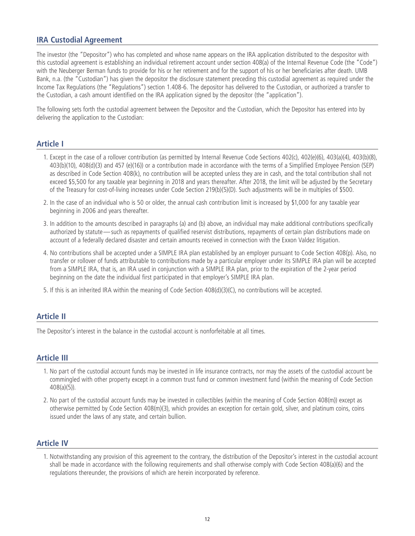# **IRA Custodial Agreement**

The investor (the "Depositor") who has completed and whose name appears on the IRA application distributed to the despositor with this custodial agreement is establishing an individual retirement account under section 408(a) of the Internal Revenue Code (the "Code") with the Neuberger Berman funds to provide for his or her retirement and for the support of his or her beneficiaries after death. UMB Bank, n.a. (the "Custodian") has given the depositor the disclosure statement preceding this custodial agreement as required under the Income Tax Regulations (the "Regulations") section 1.408-6. The depositor has delivered to the Custodian, or authorized a transfer to the Custodian, a cash amount identified on the IRA application signed by the depositor (the "application").

The following sets forth the custodial agreement between the Depositor and the Custodian, which the Depositor has entered into by delivering the application to the Custodian:

# **Article I**

- 1. Except in the case of a rollover contribution (as permitted by Internal Revenue Code Sections 402(c), 402(e)(6), 403(a)(4), 403(b)(8), 403(b)(10), 408(d)(3) and 457 (e)(16)) or a contribution made in accordance with the terms of a Simplified Employee Pension (SEP) as described in Code Section 408(k), no contribution will be accepted unless they are in cash, and the total contribution shall not exceed \$5,500 for any taxable year beginning in 2018 and years thereafter. After 2018, the limit will be adjusted by the Secretary of the Treasury for cost-of-living increases under Code Section 219(b)(5)(D). Such adjustments will be in multiples of \$500.
- 2. In the case of an individual who is 50 or older, the annual cash contribution limit is increased by \$1,000 for any taxable year beginning in 2006 and years thereafter.
- 3. In addition to the amounts described in paragraphs (a) and (b) above, an individual may make additional contributions specifically authorized by statute—such as repayments of qualified reservist distributions, repayments of certain plan distributions made on account of a federally declared disaster and certain amounts received in connection with the Exxon Valdez litigation.
- 4. No contributions shall be accepted under a SIMPLE IRA plan established by an employer pursuant to Code Section 408(p). Also, no transfer or rollover of funds attributable to contributions made by a particular employer under its SIMPLE IRA plan will be accepted from a SIMPLE IRA, that is, an IRA used in conjunction with a SIMPLE IRA plan, prior to the expiration of the 2-year period beginning on the date the individual first participated in that employer's SIMPLE IRA plan.
- 5. If this is an inherited IRA within the meaning of Code Section 408(d)(3)(C), no contributions will be accepted.

# **Article II**

The Depositor's interest in the balance in the custodial account is nonforfeitable at all times.

# **Article III**

- 1. No part of the custodial account funds may be invested in life insurance contracts, nor may the assets of the custodial account be commingled with other property except in a common trust fund or common investment fund (within the meaning of Code Section 408(a)(5)).
- 2. No part of the custodial account funds may be invested in collectibles (within the meaning of Code Section 408(m)) except as otherwise permitted by Code Section 408(m)(3), which provides an exception for certain gold, silver, and platinum coins, coins issued under the laws of any state, and certain bullion.

# **Article IV**

1. Notwithstanding any provision of this agreement to the contrary, the distribution of the Depositor's interest in the custodial account shall be made in accordance with the following requirements and shall otherwise comply with Code Section 408(a)(6) and the regulations thereunder, the provisions of which are herein incorporated by reference.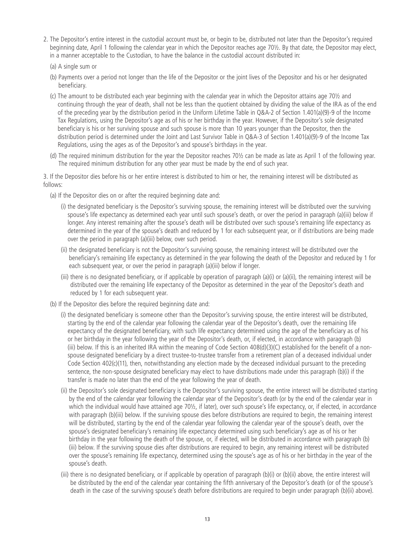- 2. The Depositor's entire interest in the custodial account must be, or begin to be, distributed not later than the Depositor's required beginning date, April 1 following the calendar year in which the Depositor reaches age 70½. By that date, the Depositor may elect, in a manner acceptable to the Custodian, to have the balance in the custodial account distributed in:
	- (a) A single sum or
	- (b) Payments over a period not longer than the life of the Depositor or the joint lives of the Depositor and his or her designated beneficiary.
	- (c) The amount to be distributed each year beginning with the calendar year in which the Depositor attains age 70½ and continuing through the year of death, shall not be less than the quotient obtained by dividing the value of the IRA as of the end of the preceding year by the distribution period in the Uniform Lifetime Table in Q&A-2 of Section 1.401(a)(9)-9 of the Income Tax Regulations, using the Depositor's age as of his or her birthday in the year. However, if the Depositor's sole designated beneficiary is his or her surviving spouse and such spouse is more than 10 years younger than the Depositor, then the distribution period is determined under the Joint and Last Survivor Table in Q&A-3 of Section 1.401(a)(9)-9 of the Income Tax Regulations, using the ages as of the Depositor's and spouse's birthdays in the year.
	- (d) The required minimum distribution for the year the Depositor reaches 70½ can be made as late as April 1 of the following year. The required minimum distribution for any other year must be made by the end of such year.

3. If the Depositor dies before his or her entire interest is distributed to him or her, the remaining interest will be distributed as follows:

- (a) If the Depositor dies on or after the required beginning date and:
	- (i) the designated beneficiary is the Depositor's surviving spouse, the remaining interest will be distributed over the surviving spouse's life expectancy as determined each year until such spouse's death, or over the period in paragraph (a)(iii) below if longer. Any interest remaining after the spouse's death will be distributed over such spouse's remaining life expectancy as determined in the year of the spouse's death and reduced by 1 for each subsequent year, or if distributions are being made over the period in paragraph (a)(iii) below, over such period.
	- (ii) the designated beneficiary is not the Depositor's surviving spouse, the remaining interest will be distributed over the beneficiary's remaining life expectancy as determined in the year following the death of the Depositor and reduced by 1 for each subsequent year, or over the period in paragraph (a)(iii) below if longer.
	- (iii) there is no designated beneficiary, or if applicable by operation of paragraph (a)(i) or (a)(ii), the remaining interest will be distributed over the remaining life expectancy of the Depositor as determined in the year of the Depositor's death and reduced by 1 for each subsequent year.
- (b) If the Depositor dies before the required beginning date and:
	- (i) the designated beneficiary is someone other than the Depositor's surviving spouse, the entire interest will be distributed, starting by the end of the calendar year following the calendar year of the Depositor's death, over the remaining life expectancy of the designated beneficiary, with such life expectancy determined using the age of the beneficiary as of his or her birthday in the year following the year of the Depositor's death, or, if elected, in accordance with paragraph (b) (iii) below. If this is an inherited IRA within the meaning of Code Section 408(d)(3)(C) established for the benefit of a nonspouse designated beneficiary by a direct trustee-to-trustee transfer from a retirement plan of a deceased individual under Code Section 402(c)(11), then, notwithstanding any election made by the deceased individual pursuant to the preceding sentence, the non-spouse designated beneficiary may elect to have distributions made under this paragraph (b)(i) if the transfer is made no later than the end of the year following the year of death.
	- (ii) the Depositor's sole designated beneficiary is the Depositor's surviving spouse, the entire interest will be distributed starting by the end of the calendar year following the calendar year of the Depositor's death (or by the end of the calendar year in which the individual would have attained age 70½, if later), over such spouse's life expectancy, or, if elected, in accordance with paragraph (b)(iii) below. If the surviving spouse dies before distributions are required to begin, the remaining interest will be distributed, starting by the end of the calendar year following the calendar year of the spouse's death, over the spouse's designated beneficiary's remaining life expectancy determined using such beneficiary's age as of his or her birthday in the year following the death of the spouse, or, if elected, will be distributed in accordance with paragraph (b) (iii) below. If the surviving spouse dies after distributions are required to begin, any remaining interest will be distributed over the spouse's remaining life expectancy, determined using the spouse's age as of his or her birthday in the year of the spouse's death.
	- (iii) there is no designated beneficiary, or if applicable by operation of paragraph (b)(i) or (b)(ii) above, the entire interest will be distributed by the end of the calendar year containing the fifth anniversary of the Depositor's death (or of the spouse's death in the case of the surviving spouse's death before distributions are required to begin under paragraph (b)(ii) above).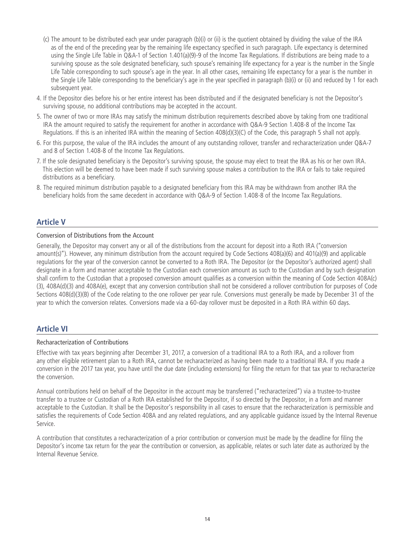- (c) The amount to be distributed each year under paragraph (b)(i) or (ii) is the quotient obtained by dividing the value of the IRA as of the end of the preceding year by the remaining life expectancy specified in such paragraph. Life expectancy is determined using the Single Life Table in Q&A-1 of Section 1.401(a)(9)-9 of the Income Tax Regulations. If distributions are being made to a surviving spouse as the sole designated beneficiary, such spouse's remaining life expectancy for a year is the number in the Single Life Table corresponding to such spouse's age in the year. In all other cases, remaining life expectancy for a year is the number in the Single Life Table corresponding to the beneficiary's age in the year specified in paragraph (b)(i) or (ii) and reduced by 1 for each subsequent year.
- 4. If the Depositor dies before his or her entire interest has been distributed and if the designated beneficiary is not the Depositor's surviving spouse, no additional contributions may be accepted in the account.
- 5. The owner of two or more IRAs may satisfy the minimum distribution requirements described above by taking from one traditional IRA the amount required to satisfy the requirement for another in accordance with Q&A-9 Section 1.408-8 of the Income Tax Regulations. If this is an inherited IRA within the meaning of Section 408(d)(3)(C) of the Code, this paragraph 5 shall not apply.
- 6. For this purpose, the value of the IRA includes the amount of any outstanding rollover, transfer and recharacterization under Q&A-7 and 8 of Section 1.408-8 of the Income Tax Regulations.
- 7. If the sole designated beneficiary is the Depositor's surviving spouse, the spouse may elect to treat the IRA as his or her own IRA. This election will be deemed to have been made if such surviving spouse makes a contribution to the IRA or fails to take required distributions as a beneficiary.
- 8. The required minimum distribution payable to a designated beneficiary from this IRA may be withdrawn from another IRA the beneficiary holds from the same decedent in accordance with Q&A-9 of Section 1.408-8 of the Income Tax Regulations.

# **Article V**

## Conversion of Distributions from the Account

Generally, the Depositor may convert any or all of the distributions from the account for deposit into a Roth IRA ("conversion amount(s)"). However, any minimum distribution from the account required by Code Sections 408(a)(6) and 401(a)(9) and applicable regulations for the year of the conversion cannot be converted to a Roth IRA. The Depositor (or the Depositor's authorized agent) shall designate in a form and manner acceptable to the Custodian each conversion amount as such to the Custodian and by such designation shall confirm to the Custodian that a proposed conversion amount qualifies as a conversion within the meaning of Code Section 408A(c) (3), 408A(d)(3) and 408A(e), except that any conversion contribution shall not be considered a rollover contribution for purposes of Code Sections 408(d)(3)(B) of the Code relating to the one rollover per year rule. Conversions must generally be made by December 31 of the year to which the conversion relates. Conversions made via a 60-day rollover must be deposited in a Roth IRA within 60 days.

# **Article VI**

#### Recharacterization of Contributions

Effective with tax years beginning after December 31, 2017, a conversion of a traditional IRA to a Roth IRA, and a rollover from any other eligible retirement plan to a Roth IRA, cannot be recharacterized as having been made to a traditional IRA. If you made a conversion in the 2017 tax year, you have until the due date (including extensions) for filing the return for that tax year to recharacterize the conversion.

Annual contributions held on behalf of the Depositor in the account may be transferred ("recharacterized") via a trustee-to-trustee transfer to a trustee or Custodian of a Roth IRA established for the Depositor, if so directed by the Depositor, in a form and manner acceptable to the Custodian. It shall be the Depositor's responsibility in all cases to ensure that the recharacterization is permissible and satisfies the requirements of Code Section 408A and any related regulations, and any applicable guidance issued by the Internal Revenue Service.

A contribution that constitutes a recharacterization of a prior contribution or conversion must be made by the deadline for filing the Depositor's income tax return for the year the contribution or conversion, as applicable, relates or such later date as authorized by the Internal Revenue Service.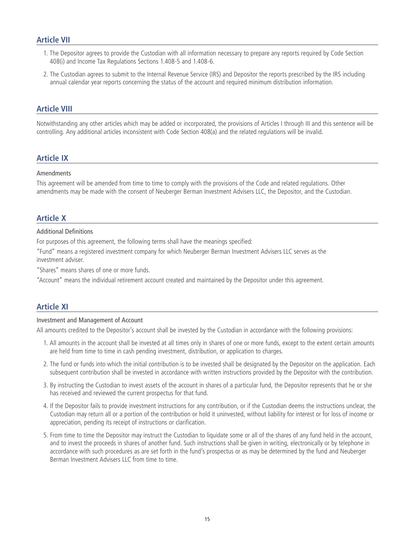# **Article VII**

- 1. The Depositor agrees to provide the Custodian with all information necessary to prepare any reports required by Code Section 408(i) and Income Tax Regulations Sections 1.408-5 and 1.408-6.
- 2. The Custodian agrees to submit to the Internal Revenue Service (IRS) and Depositor the reports prescribed by the IRS including annual calendar year reports concerning the status of the account and required minimum distribution information.

# **Article VIII**

Notwithstanding any other articles which may be added or incorporated, the provisions of Articles I through III and this sentence will be controlling. Any additional articles inconsistent with Code Section 408(a) and the related regulations will be invalid.

# **Article IX**

#### Amendments

This agreement will be amended from time to time to comply with the provisions of the Code and related regulations. Other amendments may be made with the consent of Neuberger Berman Investment Advisers LLC, the Depositor, and the Custodian.

# **Article X**

#### Additional Definitions

For purposes of this agreement, the following terms shall have the meanings specified:

"Fund" means a registered investment company for which Neuberger Berman Investment Advisers LLC serves as the investment adviser.

"Shares" means shares of one or more funds.

"Account" means the individual retirement account created and maintained by the Depositor under this agreement.

# **Article XI**

#### Investment and Management of Account

All amounts credited to the Depositor's account shall be invested by the Custodian in accordance with the following provisions:

- 1. All amounts in the account shall be invested at all times only in shares of one or more funds, except to the extent certain amounts are held from time to time in cash pending investment, distribution, or application to charges.
- 2. The fund or funds into which the initial contribution is to be invested shall be designated by the Depositor on the application. Each subsequent contribution shall be invested in accordance with written instructions provided by the Depositor with the contribution.
- 3. By instructing the Custodian to invest assets of the account in shares of a particular fund, the Depositor represents that he or she has received and reviewed the current prospectus for that fund.
- 4. If the Depositor fails to provide investment instructions for any contribution, or if the Custodian deems the instructions unclear, the Custodian may return all or a portion of the contribution or hold it uninvested, without liability for interest or for loss of income or appreciation, pending its receipt of instructions or clarification.
- 5. From time to time the Depositor may instruct the Custodian to liquidate some or all of the shares of any fund held in the account, and to invest the proceeds in shares of another fund. Such instructions shall be given in writing, electronically or by telephone in accordance with such procedures as are set forth in the fund's prospectus or as may be determined by the fund and Neuberger Berman Investment Advisers LLC from time to time.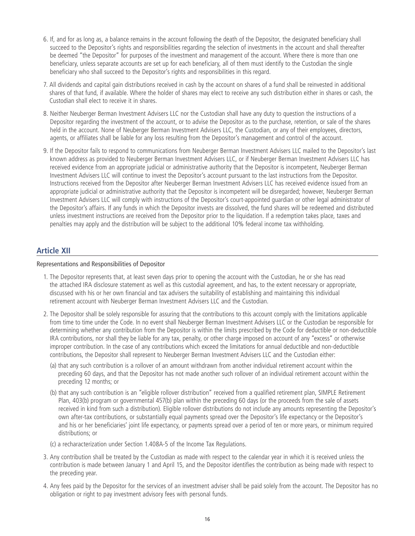- 6. If, and for as long as, a balance remains in the account following the death of the Depositor, the designated beneficiary shall succeed to the Depositor's rights and responsibilities regarding the selection of investments in the account and shall thereafter be deemed "the Depositor" for purposes of the investment and management of the account. Where there is more than one beneficiary, unless separate accounts are set up for each beneficiary, all of them must identify to the Custodian the single beneficiary who shall succeed to the Depositor's rights and responsibilities in this regard.
- 7. All dividends and capital gain distributions received in cash by the account on shares of a fund shall be reinvested in additional shares of that fund, if available. Where the holder of shares may elect to receive any such distribution either in shares or cash, the Custodian shall elect to receive it in shares.
- 8. Neither Neuberger Berman Investment Advisers LLC nor the Custodian shall have any duty to question the instructions of a Depositor regarding the investment of the account, or to advise the Depositor as to the purchase, retention, or sale of the shares held in the account. None of Neuberger Berman Investment Advisers LLC, the Custodian, or any of their employees, directors, agents, or affiliates shall be liable for any loss resulting from the Depositor's management and control of the account.
- 9. If the Depositor fails to respond to communications from Neuberger Berman Investment Advisers LLC mailed to the Depositor's last known address as provided to Neuberger Berman Investment Advisers LLC, or if Neuberger Berman Investment Advisers LLC has received evidence from an appropriate judicial or administrative authority that the Depositor is incompetent, Neuberger Berman Investment Advisers LLC will continue to invest the Depositor's account pursuant to the last instructions from the Depositor. Instructions received from the Depositor after Neuberger Berman Investment Advisers LLC has received evidence issued from an appropriate judicial or administrative authority that the Depositor is incompetent will be disregarded; however, Neuberger Berman Investment Advisers LLC will comply with instructions of the Depositor's court-appointed guardian or other legal administrator of the Depositor's affairs. If any funds in which the Depositor invests are dissolved, the fund shares will be redeemed and distributed unless investment instructions are received from the Depositor prior to the liquidation. If a redemption takes place, taxes and penalties may apply and the distribution will be subject to the additional 10% federal income tax withholding.

# **Article XII**

#### Representations and Responsibilities of Depositor

- 1. The Depositor represents that, at least seven days prior to opening the account with the Custodian, he or she has read the attached IRA disclosure statement as well as this custodial agreement, and has, to the extent necessary or appropriate, discussed with his or her own financial and tax advisers the suitability of establishing and maintaining this individual retirement account with Neuberger Berman Investment Advisers LLC and the Custodian.
- 2. The Depositor shall be solely responsible for assuring that the contributions to this account comply with the limitations applicable from time to time under the Code. In no event shall Neuberger Berman Investment Advisers LLC or the Custodian be responsible for determining whether any contribution from the Depositor is within the limits prescribed by the Code for deductible or non-deductible IRA contributions, nor shall they be liable for any tax, penalty, or other charge imposed on account of any "excess" or otherwise improper contribution. In the case of any contributions which exceed the limitations for annual deductible and non-deductible contributions, the Depositor shall represent to Neuberger Berman Investment Advisers LLC and the Custodian either:
	- (a) that any such contribution is a rollover of an amount withdrawn from another individual retirement account within the preceding 60 days, and that the Depositor has not made another such rollover of an individual retirement account within the preceding 12 months; or
	- (b) that any such contribution is an "eligible rollover distribution" received from a qualified retirement plan, SIMPLE Retirement Plan, 403(b) program or governmental 457(b) plan within the preceding 60 days (or the proceeds from the sale of assets received in kind from such a distribution). Eligible rollover distributions do not include any amounts representing the Depositor's own after-tax contributions, or substantially equal payments spread over the Depositor's life expectancy or the Depositor's and his or her beneficiaries' joint life expectancy, or payments spread over a period of ten or more years, or minimum required distributions; or
	- (c) a recharacterization under Section 1.408A-5 of the Income Tax Regulations.
- 3. Any contribution shall be treated by the Custodian as made with respect to the calendar year in which it is received unless the contribution is made between January 1 and April 15, and the Depositor identifies the contribution as being made with respect to the preceding year.
- 4. Any fees paid by the Depositor for the services of an investment adviser shall be paid solely from the account. The Depositor has no obligation or right to pay investment advisory fees with personal funds.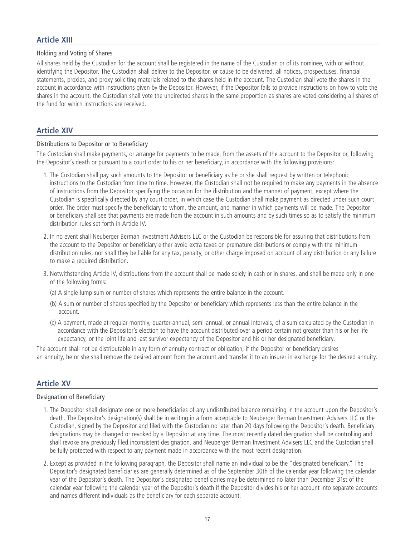# **Article XIII**

#### Holding and Voting of Shares

All shares held by the Custodian for the account shall be registered in the name of the Custodian or of its nominee, with or without identifying the Depositor. The Custodian shall deliver to the Depositor, or cause to be delivered, all notices, prospectuses, financial statements, proxies, and proxy soliciting materials related to the shares held in the account. The Custodian shall vote the shares in the account in accordance with instructions given by the Depositor. However, if the Depositor fails to provide instructions on how to vote the shares in the account, the Custodian shall vote the undirected shares in the same proportion as shares are voted considering all shares of the fund for which instructions are received.

# **Article XIV**

#### Distributions to Depositor or to Beneficiary

The Custodian shall make payments, or arrange for payments to be made, from the assets of the account to the Depositor or, following the Depositor's death or pursuant to a court order to his or her beneficiary, in accordance with the following provisions:

- 1. The Custodian shall pay such amounts to the Depositor or beneficiary as he or she shall request by written or telephonic instructions to the Custodian from time to time. However, the Custodian shall not be required to make any payments in the absence of instructions from the Depositor specifying the occasion for the distribution and the manner of payment, except where the Custodian is specifically directed by any court order, in which case the Custodian shall make payment as directed under such court order. The order must specify the beneficiary to whom, the amount, and manner in which payments will be made. The Depositor or beneficiary shall see that payments are made from the account in such amounts and by such times so as to satisfy the minimum distribution rules set forth in Article IV.
- 2. In no event shall Neuberger Berman Investment Advisers LLC or the Custodian be responsible for assuring that distributions from the account to the Depositor or beneficiary either avoid extra taxes on premature distributions or comply with the minimum distribution rules, nor shall they be liable for any tax, penalty, or other charge imposed on account of any distribution or any failure to make a required distribution.
- 3. Notwithstanding Article IV, distributions from the account shall be made solely in cash or in shares, and shall be made only in one of the following forms:
	- (a) A single lump sum or number of shares which represents the entire balance in the account.
	- (b) A sum or number of shares specified by the Depositor or beneficiary which represents less than the entire balance in the account.
	- (c) A payment, made at regular monthly, quarter-annual, semi-annual, or annual intervals, of a sum calculated by the Custodian in accordance with the Depositor's election to have the account distributed over a period certain not greater than his or her life expectancy, or the joint life and last survivor expectancy of the Depositor and his or her designated beneficiary.

The account shall not be distributable in any form of annuity contract or obligation; if the Depositor or beneficiary desires an annuity, he or she shall remove the desired amount from the account and transfer it to an insurer in exchange for the desired annuity.

# **Article XV**

#### Designation of Beneficiary

- 1. The Depositor shall designate one or more beneficiaries of any undistributed balance remaining in the account upon the Depositor's death. The Depositor's designation(s) shall be in writing in a form acceptable to Neuberger Berman Investment Advisers LLC or the Custodian, signed by the Depositor and filed with the Custodian no later than 20 days following the Depositor's death. Beneficiary designations may be changed or revoked by a Depositor at any time. The most recently dated designation shall be controlling and shall revoke any previously filed inconsistent designation, and Neuberger Berman Investment Advisers LLC and the Custodian shall be fully protected with respect to any payment made in accordance with the most recent designation.
- 2. Except as provided in the following paragraph, the Depositor shall name an individual to be the "designated beneficiary." The Depositor's designated beneficiaries are generally determined as of the September 30th of the calendar year following the calendar year of the Depositor's death. The Depositor's designated beneficiaries may be determined no later than December 31st of the calendar year following the calendar year of the Depositor's death if the Depositor divides his or her account into separate accounts and names different individuals as the beneficiary for each separate account.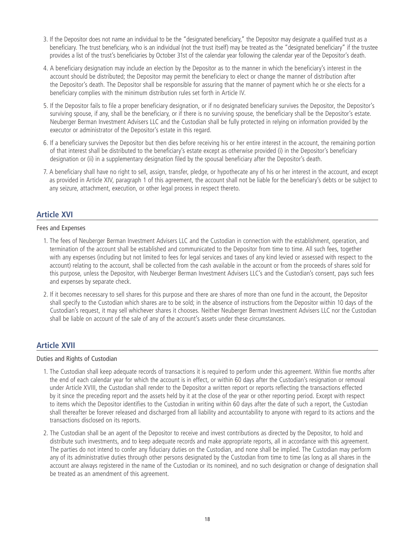- 3. If the Depositor does not name an individual to be the "designated beneficiary," the Depositor may designate a qualified trust as a beneficiary. The trust beneficiary, who is an individual (not the trust itself) may be treated as the "designated beneficiary" if the trustee provides a list of the trust's beneficiaries by October 31st of the calendar year following the calendar year of the Depositor's death.
- 4. A beneficiary designation may include an election by the Depositor as to the manner in which the beneficiary's interest in the account should be distributed; the Depositor may permit the beneficiary to elect or change the manner of distribution after the Depositor's death. The Depositor shall be responsible for assuring that the manner of payment which he or she elects for a beneficiary complies with the minimum distribution rules set forth in Article IV.
- 5. If the Depositor fails to file a proper beneficiary designation, or if no designated beneficiary survives the Depositor, the Depositor's surviving spouse, if any, shall be the beneficiary, or if there is no surviving spouse, the beneficiary shall be the Depositor's estate. Neuberger Berman Investment Advisers LLC and the Custodian shall be fully protected in relying on information provided by the executor or administrator of the Depositor's estate in this regard.
- 6. If a beneficiary survives the Depositor but then dies before receiving his or her entire interest in the account, the remaining portion of that interest shall be distributed to the beneficiary's estate except as otherwise provided (i) in the Depositor's beneficiary designation or (ii) in a supplementary designation filed by the spousal beneficiary after the Depositor's death.
- 7. A beneficiary shall have no right to sell, assign, transfer, pledge, or hypothecate any of his or her interest in the account, and except as provided in Article XIV, paragraph 1 of this agreement, the account shall not be liable for the beneficiary's debts or be subject to any seizure, attachment, execution, or other legal process in respect thereto.

# **Article XVI**

#### Fees and Expenses

- 1. The fees of Neuberger Berman Investment Advisers LLC and the Custodian in connection with the establishment, operation, and termination of the account shall be established and communicated to the Depositor from time to time. All such fees, together with any expenses (including but not limited to fees for legal services and taxes of any kind levied or assessed with respect to the account) relating to the account, shall be collected from the cash available in the account or from the proceeds of shares sold for this purpose, unless the Depositor, with Neuberger Berman Investment Advisers LLC's and the Custodian's consent, pays such fees and expenses by separate check.
- 2. If it becomes necessary to sell shares for this purpose and there are shares of more than one fund in the account, the Depositor shall specify to the Custodian which shares are to be sold; in the absence of instructions from the Depositor within 10 days of the Custodian's request, it may sell whichever shares it chooses. Neither Neuberger Berman Investment Advisers LLC nor the Custodian shall be liable on account of the sale of any of the account's assets under these circumstances.

# **Article XVII**

#### Duties and Rights of Custodian

- 1. The Custodian shall keep adequate records of transactions it is required to perform under this agreement. Within five months after the end of each calendar year for which the account is in effect, or within 60 days after the Custodian's resignation or removal under Article XVIII, the Custodian shall render to the Depositor a written report or reports reflecting the transactions effected by it since the preceding report and the assets held by it at the close of the year or other reporting period. Except with respect to items which the Depositor identifies to the Custodian in writing within 60 days after the date of such a report, the Custodian shall thereafter be forever released and discharged from all liability and accountability to anyone with regard to its actions and the transactions disclosed on its reports.
- 2. The Custodian shall be an agent of the Depositor to receive and invest contributions as directed by the Depositor, to hold and distribute such investments, and to keep adequate records and make appropriate reports, all in accordance with this agreement. The parties do not intend to confer any fiduciary duties on the Custodian, and none shall be implied. The Custodian may perform any of its administrative duties through other persons designated by the Custodian from time to time (as long as all shares in the account are always registered in the name of the Custodian or its nominee), and no such designation or change of designation shall be treated as an amendment of this agreement.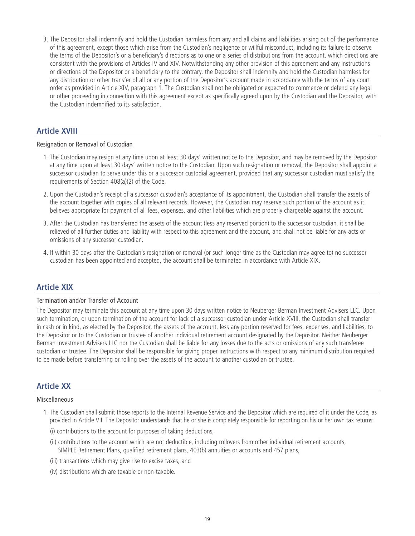3. The Depositor shall indemnify and hold the Custodian harmless from any and all claims and liabilities arising out of the performance of this agreement, except those which arise from the Custodian's negligence or willful misconduct, including its failure to observe the terms of the Depositor's or a beneficiary's directions as to one or a series of distributions from the account, which directions are consistent with the provisions of Articles IV and XIV. Notwithstanding any other provision of this agreement and any instructions or directions of the Depositor or a beneficiary to the contrary, the Depositor shall indemnify and hold the Custodian harmless for any distribution or other transfer of all or any portion of the Depositor's account made in accordance with the terms of any court order as provided in Article XIV, paragraph 1. The Custodian shall not be obligated or expected to commence or defend any legal or other proceeding in connection with this agreement except as specifically agreed upon by the Custodian and the Depositor, with the Custodian indemnified to its satisfaction.

# **Article XVIII**

#### Resignation or Removal of Custodian

- 1. The Custodian may resign at any time upon at least 30 days' written notice to the Depositor, and may be removed by the Depositor at any time upon at least 30 days' written notice to the Custodian. Upon such resignation or removal, the Depositor shall appoint a successor custodian to serve under this or a successor custodial agreement, provided that any successor custodian must satisfy the requirements of Section 408(a)(2) of the Code.
- 2. Upon the Custodian's receipt of a successor custodian's acceptance of its appointment, the Custodian shall transfer the assets of the account together with copies of all relevant records. However, the Custodian may reserve such portion of the account as it believes appropriate for payment of all fees, expenses, and other liabilities which are properly chargeable against the account.
- 3. After the Custodian has transferred the assets of the account (less any reserved portion) to the successor custodian, it shall be relieved of all further duties and liability with respect to this agreement and the account, and shall not be liable for any acts or omissions of any successor custodian.
- 4. If within 30 days after the Custodian's resignation or removal (or such longer time as the Custodian may agree to) no successor custodian has been appointed and accepted, the account shall be terminated in accordance with Article XIX.

# **Article XIX**

#### Termination and/or Transfer of Account

The Depositor may terminate this account at any time upon 30 days written notice to Neuberger Berman Investment Advisers LLC. Upon such termination, or upon termination of the account for lack of a successor custodian under Article XVIII, the Custodian shall transfer in cash or in kind, as elected by the Depositor, the assets of the account, less any portion reserved for fees, expenses, and liabilities, to the Depositor or to the Custodian or trustee of another individual retirement account designated by the Depositor. Neither Neuberger Berman Investment Advisers LLC nor the Custodian shall be liable for any losses due to the acts or omissions of any such transferee custodian or trustee. The Depositor shall be responsible for giving proper instructions with respect to any minimum distribution required to be made before transferring or rolling over the assets of the account to another custodian or trustee.

# **Article XX**

#### Miscellaneous

- 1. The Custodian shall submit those reports to the Internal Revenue Service and the Depositor which are required of it under the Code, as provided in Article VII. The Depositor understands that he or she is completely responsible for reporting on his or her own tax returns:
	- (i) contributions to the account for purposes of taking deductions,
	- (ii) contributions to the account which are not deductible, including rollovers from other individual retirement accounts, SIMPLE Retirement Plans, qualified retirement plans, 403(b) annuities or accounts and 457 plans,
	- (iii) transactions which may give rise to excise taxes, and
	- (iv) distributions which are taxable or non-taxable.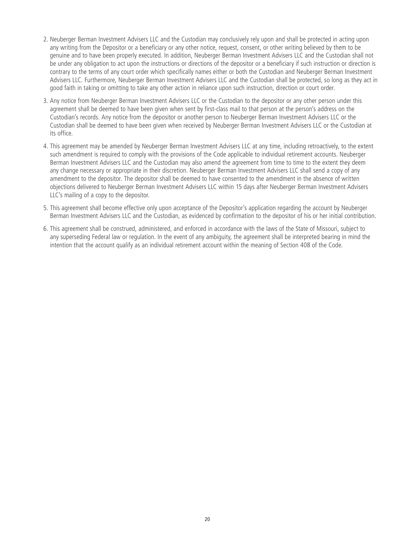- 2. Neuberger Berman Investment Advisers LLC and the Custodian may conclusively rely upon and shall be protected in acting upon any writing from the Depositor or a beneficiary or any other notice, request, consent, or other writing believed by them to be genuine and to have been properly executed. In addition, Neuberger Berman Investment Advisers LLC and the Custodian shall not be under any obligation to act upon the instructions or directions of the depositor or a beneficiary if such instruction or direction is contrary to the terms of any court order which specifically names either or both the Custodian and Neuberger Berman Investment Advisers LLC. Furthermore, Neuberger Berman Investment Advisers LLC and the Custodian shall be protected, so long as they act in good faith in taking or omitting to take any other action in reliance upon such instruction, direction or court order.
- 3. Any notice from Neuberger Berman Investment Advisers LLC or the Custodian to the depositor or any other person under this agreement shall be deemed to have been given when sent by first-class mail to that person at the person's address on the Custodian's records. Any notice from the depositor or another person to Neuberger Berman Investment Advisers LLC or the Custodian shall be deemed to have been given when received by Neuberger Berman Investment Advisers LLC or the Custodian at its office.
- 4. This agreement may be amended by Neuberger Berman Investment Advisers LLC at any time, including retroactively, to the extent such amendment is required to comply with the provisions of the Code applicable to individual retirement accounts. Neuberger Berman Investment Advisers LLC and the Custodian may also amend the agreement from time to time to the extent they deem any change necessary or appropriate in their discretion. Neuberger Berman Investment Advisers LLC shall send a copy of any amendment to the depositor. The depositor shall be deemed to have consented to the amendment in the absence of written objections delivered to Neuberger Berman Investment Advisers LLC within 15 days after Neuberger Berman Investment Advisers LLC's mailing of a copy to the depositor.
- 5. This agreement shall become effective only upon acceptance of the Depositor's application regarding the account by Neuberger Berman Investment Advisers LLC and the Custodian, as evidenced by confirmation to the depositor of his or her initial contribution.
- 6. This agreement shall be construed, administered, and enforced in accordance with the laws of the State of Missouri, subject to any superseding Federal law or regulation. In the event of any ambiguity, the agreement shall be interpreted bearing in mind the intention that the account qualify as an individual retirement account within the meaning of Section 408 of the Code.